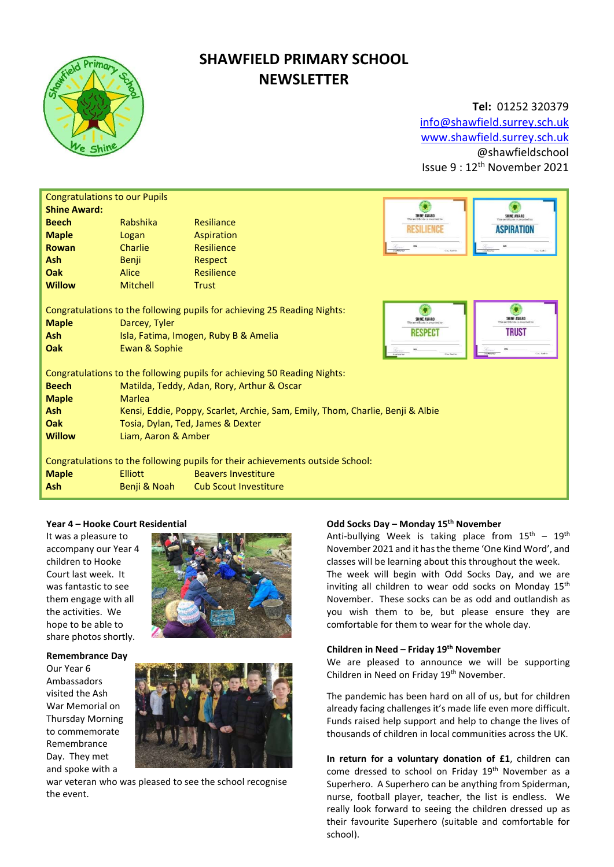

# SHAWFIELD PRIMARY SCHOOL **NEWSLETTER**

## Tel: 01252 320379 info@shawfield.surrey.sch.uk

www.shawfield.surrey.sch.uk @shawfieldschool Issue 9 : 12th November 2021

| <b>Congratulations to our Pupils</b>                                                                                                                                                           |                                                                                |                |                                           |                             |  |  |  |
|------------------------------------------------------------------------------------------------------------------------------------------------------------------------------------------------|--------------------------------------------------------------------------------|----------------|-------------------------------------------|-----------------------------|--|--|--|
| <b>Shine Award:</b>                                                                                                                                                                            |                                                                                |                | SHINE AWARD                               | <b>SHINE AWARD</b>          |  |  |  |
| <b>Beech</b>                                                                                                                                                                                   | Rabshika                                                                       | Resiliance     | <b>RESILIENCI</b>                         | <b>ASPIRATION</b>           |  |  |  |
| <b>Maple</b>                                                                                                                                                                                   | Logan                                                                          | Aspiration     |                                           |                             |  |  |  |
| Rowan                                                                                                                                                                                          | <b>Charlie</b>                                                                 | Resilience     | <b>National</b><br>Cast Sarts             | Case Seat                   |  |  |  |
| <b>Ash</b>                                                                                                                                                                                     | <b>Benji</b>                                                                   | <b>Respect</b> |                                           |                             |  |  |  |
| Oak                                                                                                                                                                                            | Alice                                                                          | Resilience     |                                           |                             |  |  |  |
| <b>Willow</b>                                                                                                                                                                                  | Mitchell                                                                       | <b>Trust</b>   |                                           |                             |  |  |  |
| Congratulations to the following pupils for achieving 25 Reading Nights:<br><b>Maple</b><br>Darcey, Tyler<br><b>Ash</b><br>Isla, Fatima, Imogen, Ruby B & Amelia<br>Oak<br>Ewan & Sophie       |                                                                                |                | SHINE AWARD<br>RESPECT<br><b>National</b> | SHINE AWARD<br><b>TRUST</b> |  |  |  |
| Congratulations to the following pupils for achieving 50 Reading Nights:                                                                                                                       |                                                                                |                |                                           |                             |  |  |  |
| <b>Beech</b>                                                                                                                                                                                   | Matilda, Teddy, Adan, Rory, Arthur & Oscar                                     |                |                                           |                             |  |  |  |
| <b>Maple</b>                                                                                                                                                                                   | Marlea                                                                         |                |                                           |                             |  |  |  |
| <b>Ash</b>                                                                                                                                                                                     | Kensi, Eddie, Poppy, Scarlet, Archie, Sam, Emily, Thom, Charlie, Benji & Albie |                |                                           |                             |  |  |  |
| <b>Oak</b>                                                                                                                                                                                     | Tosia, Dylan, Ted, James & Dexter                                              |                |                                           |                             |  |  |  |
| <b>Willow</b>                                                                                                                                                                                  | Liam, Aaron & Amber                                                            |                |                                           |                             |  |  |  |
| Congratulations to the following pupils for their achievements outside School:<br><b>Maple</b><br>Elliott<br><b>Beavers Investiture</b><br>Ash<br>Benji & Noah<br><b>Cub Scout Investiture</b> |                                                                                |                |                                           |                             |  |  |  |

#### Year 4 – Hooke Court Residential

It was a pleasure to accompany our Year 4 children to Hooke Court last week. It was fantastic to see them engage with all the activities. We hope to be able to share photos shortly.

Remembrance Day Our Year 6 Ambassadors visited the Ash War Memorial on Thursday Morning to commemorate Remembrance Day. They met and spoke with a





war veteran who was pleased to see the school recognise the event.

#### Odd Socks Day - Monday 15<sup>th</sup> November

Anti-bullying Week is taking place from  $15<sup>th</sup> - 19<sup>th</sup>$ November 2021 and it has the theme 'One Kind Word', and classes will be learning about this throughout the week. The week will begin with Odd Socks Day, and we are inviting all children to wear odd socks on Monday 15<sup>th</sup> November. These socks can be as odd and outlandish as you wish them to be, but please ensure they are comfortable for them to wear for the whole day.

### Children in Need – Friday 19th November

We are pleased to announce we will be supporting Children in Need on Friday 19<sup>th</sup> November.

The pandemic has been hard on all of us, but for children already facing challenges it's made life even more difficult. Funds raised help support and help to change the lives of thousands of children in local communities across the UK.

In return for a voluntary donation of £1, children can come dressed to school on Friday 19<sup>th</sup> November as a Superhero. A Superhero can be anything from Spiderman, nurse, football player, teacher, the list is endless. We really look forward to seeing the children dressed up as their favourite Superhero (suitable and comfortable for school).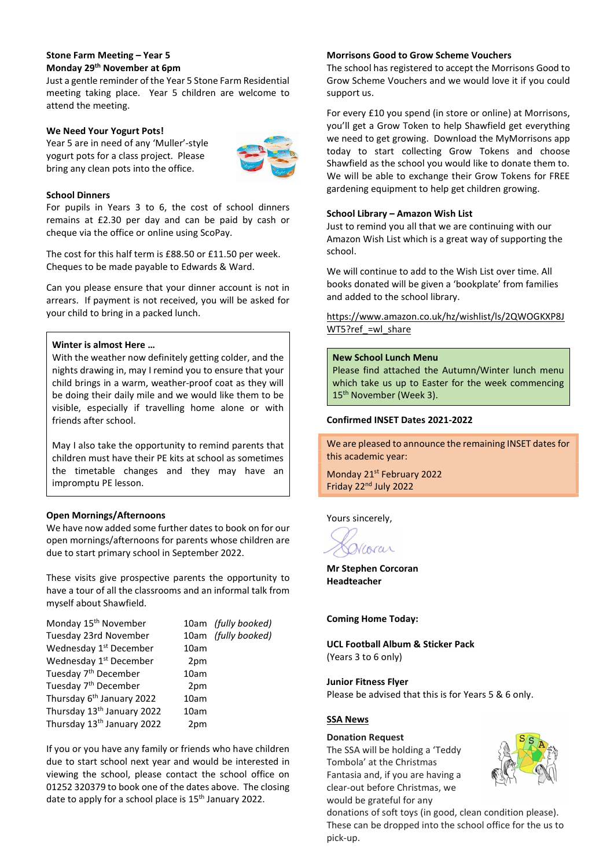#### Stone Farm Meeting – Year 5 Monday 29th November at 6pm

Just a gentle reminder of the Year 5 Stone Farm Residential meeting taking place. Year 5 children are welcome to attend the meeting.

#### We Need Your Yogurt Pots!

Year 5 are in need of any 'Muller'-style yogurt pots for a class project. Please bring any clean pots into the office.



#### School Dinners

For pupils in Years 3 to 6, the cost of school dinners remains at £2.30 per day and can be paid by cash or cheque via the office or online using ScoPay.

The cost for this half term is £88.50 or £11.50 per week. Cheques to be made payable to Edwards & Ward.

Can you please ensure that your dinner account is not in arrears. If payment is not received, you will be asked for your child to bring in a packed lunch.

#### Winter is almost Here …

With the weather now definitely getting colder, and the nights drawing in, may I remind you to ensure that your child brings in a warm, weather-proof coat as they will be doing their daily mile and we would like them to be visible, especially if travelling home alone or with friends after school.

May I also take the opportunity to remind parents that children must have their PE kits at school as sometimes the timetable changes and they may have an impromptu PE lesson.

#### Open Mornings/Afternoons

We have now added some further dates to book on for our open mornings/afternoons for parents whose children are due to start primary school in September 2022.

These visits give prospective parents the opportunity to have a tour of all the classrooms and an informal talk from myself about Shawfield.

| Monday 15 <sup>th</sup> November       |      | 10am (fully booked) |
|----------------------------------------|------|---------------------|
| Tuesday 23rd November                  |      | 10am (fully booked) |
| Wednesday 1 <sup>st</sup> December     | 10am |                     |
| Wednesday 1 <sup>st</sup> December     | 2pm  |                     |
| Tuesday 7 <sup>th</sup> December       | 10am |                     |
| Tuesday 7 <sup>th</sup> December       | 2pm  |                     |
| Thursday 6 <sup>th</sup> January 2022  | 10am |                     |
| Thursday 13 <sup>th</sup> January 2022 | 10am |                     |
| Thursday 13 <sup>th</sup> January 2022 | 2pm  |                     |

If you or you have any family or friends who have children due to start school next year and would be interested in viewing the school, please contact the school office on 01252 320379 to book one of the dates above. The closing date to apply for a school place is 15<sup>th</sup> January 2022.

#### Morrisons Good to Grow Scheme Vouchers

The school has registered to accept the Morrisons Good to Grow Scheme Vouchers and we would love it if you could support us.

For every £10 you spend (in store or online) at Morrisons, you'll get a Grow Token to help Shawfield get everything we need to get growing. Download the MyMorrisons app today to start collecting Grow Tokens and choose Shawfield as the school you would like to donate them to. We will be able to exchange their Grow Tokens for FREE gardening equipment to help get children growing.

#### School Library – Amazon Wish List

Just to remind you all that we are continuing with our Amazon Wish List which is a great way of supporting the school.

We will continue to add to the Wish List over time. All books donated will be given a 'bookplate' from families and added to the school library.

#### https://www.amazon.co.uk/hz/wishlist/ls/2QWOGKXP8J WT5?ref =wl\_share

#### New School Lunch Menu

Please find attached the Autumn/Winter lunch menu which take us up to Easter for the week commencing 15<sup>th</sup> November (Week 3).

#### Confirmed INSET Dates 2021-2022

We are pleased to announce the remaining INSET dates for this academic year:

Monday 21<sup>st</sup> February 2022 Friday 22nd July 2022

Yours sincerely,

Viorar

Mr Stephen Corcoran Headteacher

Coming Home Today:

UCL Football Album & Sticker Pack (Years 3 to 6 only)

Junior Fitness Flyer Please be advised that this is for Years 5 & 6 only.

#### SSA News

### Donation Request

The SSA will be holding a 'Teddy Tombola' at the Christmas Fantasia and, if you are having a clear-out before Christmas, we would be grateful for any



donations of soft toys (in good, clean condition please). These can be dropped into the school office for the us to pick-up.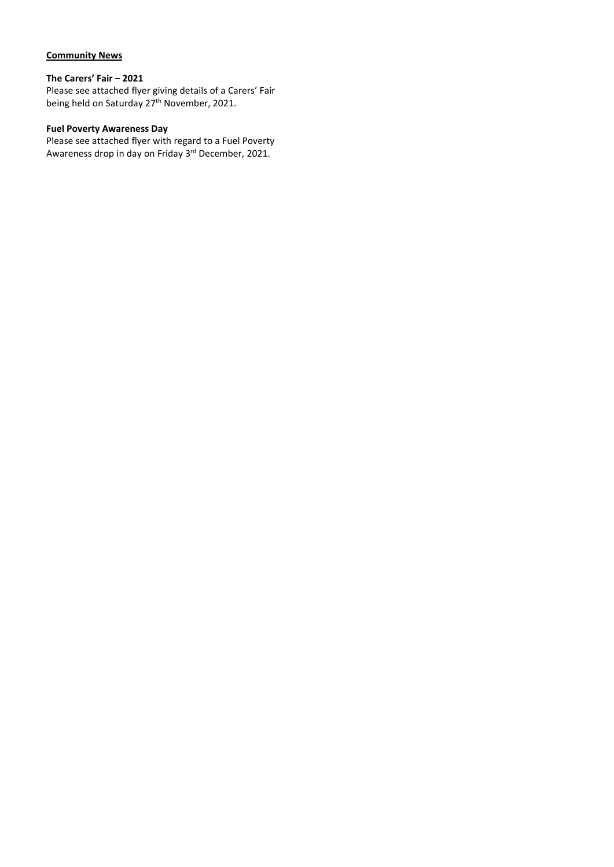## Community News

## The Carers' Fair – 2021

Please see attached flyer giving details of a Carers' Fair being held on Saturday 27<sup>th</sup> November, 2021.

## Fuel Poverty Awareness Day

Please see attached flyer with regard to a Fuel Poverty Awareness drop in day on Friday 3<sup>rd</sup> December, 2021.